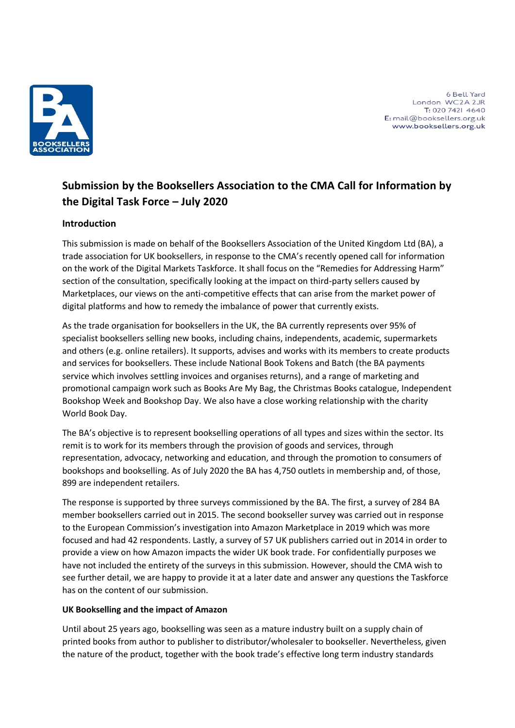

6 Bell Yard London WC2A 2JR T: 020 7421 4640 E: mail@booksellers.org.uk www.booksellers.org.uk

# **Submission by the Booksellers Association to the CMA Call for Information by the Digital Task Force – July 2020**

# **Introduction**

This submission is made on behalf of the Booksellers Association of the United Kingdom Ltd (BA), a trade association for UK booksellers, in response to the CMA's recently opened call for information on the work of the Digital Markets Taskforce. It shall focus on the "Remedies for Addressing Harm" section of the consultation, specifically looking at the impact on third-party sellers caused by Marketplaces, our views on the anti-competitive effects that can arise from the market power of digital platforms and how to remedy the imbalance of power that currently exists.

As the trade organisation for booksellers in the UK, the BA currently represents over 95% of specialist booksellers selling new books, including chains, independents, academic, supermarkets and others (e.g. online retailers). It supports, advises and works with its members to create products and services for booksellers. These include National Book Tokens and Batch (the BA payments service which involves settling invoices and organises returns), and a range of marketing and promotional campaign work such as Books Are My Bag, the Christmas Books catalogue, Independent Bookshop Week and Bookshop Day. We also have a close working relationship with the charity World Book Day.

The BA's objective is to represent bookselling operations of all types and sizes within the sector. Its remit is to work for its members through the provision of goods and services, through representation, advocacy, networking and education, and through the promotion to consumers of bookshops and bookselling. As of July 2020 the BA has 4,750 outlets in membership and, of those, 899 are independent retailers.

The response is supported by three surveys commissioned by the BA. The first, a survey of 284 BA member booksellers carried out in 2015. The second bookseller survey was carried out in response to the European Commission's investigation into Amazon Marketplace in 2019 which was more focused and had 42 respondents. Lastly, a survey of 57 UK publishers carried out in 2014 in order to provide a view on how Amazon impacts the wider UK book trade. For confidentially purposes we have not included the entirety of the surveys in this submission. However, should the CMA wish to see further detail, we are happy to provide it at a later date and answer any questions the Taskforce has on the content of our submission.

# **UK Bookselling and the impact of Amazon**

Until about 25 years ago, bookselling was seen as a mature industry built on a supply chain of printed books from author to publisher to distributor/wholesaler to bookseller. Nevertheless, given the nature of the product, together with the book trade's effective long term industry standards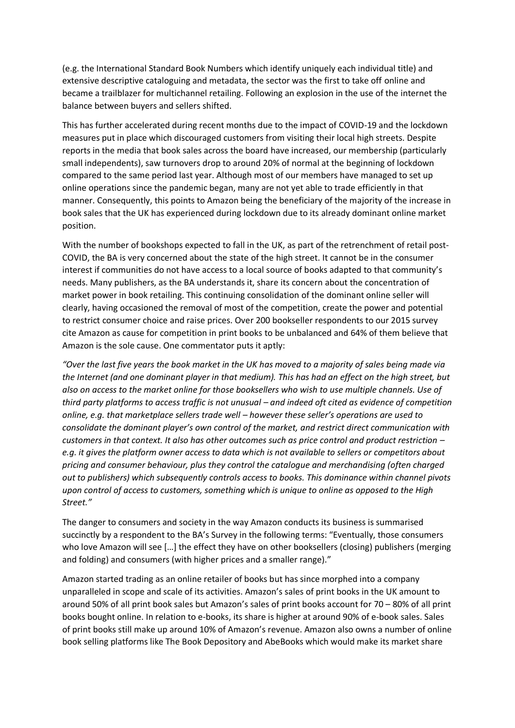(e.g. the International Standard Book Numbers which identify uniquely each individual title) and extensive descriptive cataloguing and metadata, the sector was the first to take off online and became a trailblazer for multichannel retailing. Following an explosion in the use of the internet the balance between buyers and sellers shifted.

This has further accelerated during recent months due to the impact of COVID-19 and the lockdown measures put in place which discouraged customers from visiting their local high streets. Despite reports in the media that book sales across the board have increased, our membership (particularly small independents), saw turnovers drop to around 20% of normal at the beginning of lockdown compared to the same period last year. Although most of our members have managed to set up online operations since the pandemic began, many are not yet able to trade efficiently in that manner. Consequently, this points to Amazon being the beneficiary of the majority of the increase in book sales that the UK has experienced during lockdown due to its already dominant online market position.

With the number of bookshops expected to fall in the UK, as part of the retrenchment of retail post-COVID, the BA is very concerned about the state of the high street. It cannot be in the consumer interest if communities do not have access to a local source of books adapted to that community's needs. Many publishers, as the BA understands it, share its concern about the concentration of market power in book retailing. This continuing consolidation of the dominant online seller will clearly, having occasioned the removal of most of the competition, create the power and potential to restrict consumer choice and raise prices. Over 200 bookseller respondents to our 2015 survey cite Amazon as cause for competition in print books to be unbalanced and 64% of them believe that Amazon is the sole cause. One commentator puts it aptly:

*"Over the last five years the book market in the UK has moved to a majority of sales being made via the Internet (and one dominant player in that medium). This has had an effect on the high street, but also on access to the market online for those booksellers who wish to use multiple channels. Use of third party platforms to access traffic is not unusual – and indeed oft cited as evidence of competition online, e.g. that marketplace sellers trade well – however these seller's operations are used to consolidate the dominant player's own control of the market, and restrict direct communication with customers in that context. It also has other outcomes such as price control and product restriction – e.g. it gives the platform owner access to data which is not available to sellers or competitors about pricing and consumer behaviour, plus they control the catalogue and merchandising (often charged out to publishers) which subsequently controls access to books. This dominance within channel pivots upon control of access to customers, something which is unique to online as opposed to the High Street."*

The danger to consumers and society in the way Amazon conducts its business is summarised succinctly by a respondent to the BA's Survey in the following terms: "Eventually, those consumers who love Amazon will see […] the effect they have on other booksellers (closing) publishers (merging and folding) and consumers (with higher prices and a smaller range)."

Amazon started trading as an online retailer of books but has since morphed into a company unparalleled in scope and scale of its activities. Amazon's sales of print books in the UK amount to around 50% of all print book sales but Amazon's sales of print books account for 70 – 80% of all print books bought online. In relation to e-books, its share is higher at around 90% of e-book sales. Sales of print books still make up around 10% of Amazon's revenue. Amazon also owns a number of online book selling platforms like The Book Depository and AbeBooks which would make its market share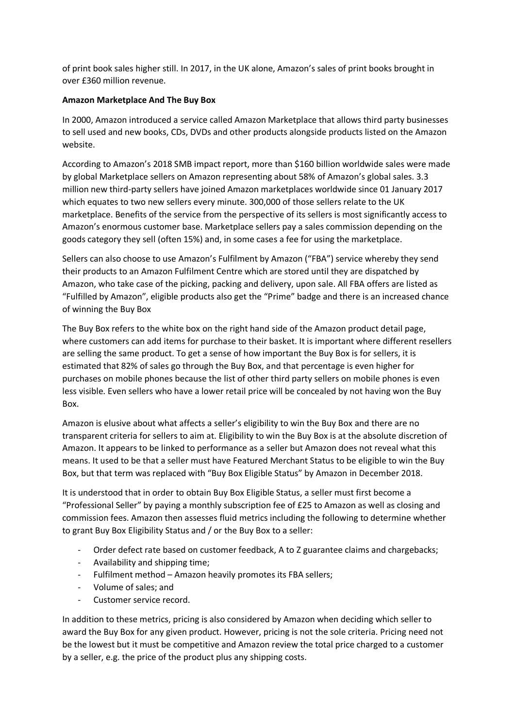of print book sales higher still. In 2017, in the UK alone, Amazon's sales of print books brought in over £360 million revenue.

## **Amazon Marketplace And The Buy Box**

In 2000, Amazon introduced a service called Amazon Marketplace that allows third party businesses to sell used and new books, CDs, DVDs and other products alongside products listed on the Amazon website.

According to Amazon's 2018 SMB impact report, more than \$160 billion worldwide sales were made by global Marketplace sellers on Amazon representing about 58% of Amazon's global sales. 3.3 million new third-party sellers have joined Amazon marketplaces worldwide since 01 January 2017 which equates to two new sellers every minute. 300,000 of those sellers relate to the UK marketplace. Benefits of the service from the perspective of its sellers is most significantly access to Amazon's enormous customer base. Marketplace sellers pay a sales commission depending on the goods category they sell (often 15%) and, in some cases a fee for using the marketplace.

Sellers can also choose to use Amazon's Fulfilment by Amazon ("FBA") service whereby they send their products to an Amazon Fulfilment Centre which are stored until they are dispatched by Amazon, who take case of the picking, packing and delivery, upon sale. All FBA offers are listed as "Fulfilled by Amazon", eligible products also get the "Prime" badge and there is an increased chance of winning the Buy Box

The Buy Box refers to the white box on the right hand side of the Amazon product detail page, where customers can add items for purchase to their basket. It is important where different resellers are selling the same product. To get a sense of how important the Buy Box is for sellers, it is estimated that 82% of sales go through the Buy Box, and that percentage is even higher for purchases on mobile phones because the list of other third party sellers on mobile phones is even less visible. Even sellers who have a lower retail price will be concealed by not having won the Buy Box.

Amazon is elusive about what affects a seller's eligibility to win the Buy Box and there are no transparent criteria for sellers to aim at. Eligibility to win the Buy Box is at the absolute discretion of Amazon. It appears to be linked to performance as a seller but Amazon does not reveal what this means. It used to be that a seller must have Featured Merchant Status to be eligible to win the Buy Box, but that term was replaced with "Buy Box Eligible Status" by Amazon in December 2018.

It is understood that in order to obtain Buy Box Eligible Status, a seller must first become a "Professional Seller" by paying a monthly subscription fee of £25 to Amazon as well as closing and commission fees. Amazon then assesses fluid metrics including the following to determine whether to grant Buy Box Eligibility Status and / or the Buy Box to a seller:

- Order defect rate based on customer feedback, A to Z guarantee claims and chargebacks;
- Availability and shipping time;
- Fulfilment method Amazon heavily promotes its FBA sellers;
- Volume of sales; and
- Customer service record.

In addition to these metrics, pricing is also considered by Amazon when deciding which seller to award the Buy Box for any given product. However, pricing is not the sole criteria. Pricing need not be the lowest but it must be competitive and Amazon review the total price charged to a customer by a seller, e.g. the price of the product plus any shipping costs.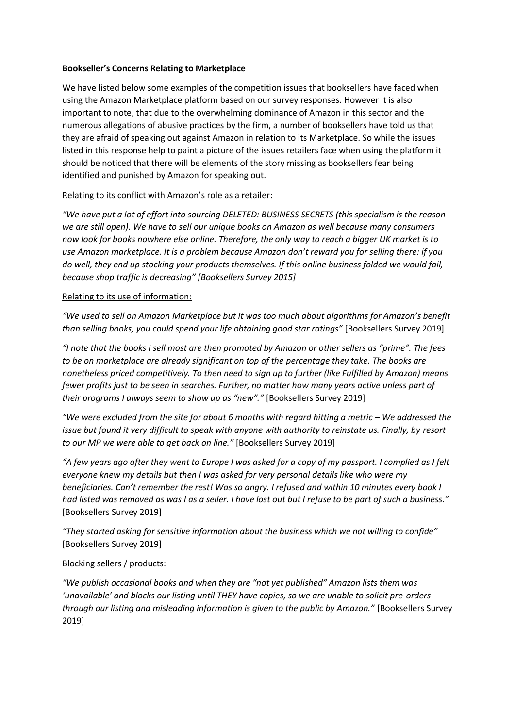### **Bookseller's Concerns Relating to Marketplace**

We have listed below some examples of the competition issues that booksellers have faced when using the Amazon Marketplace platform based on our survey responses. However it is also important to note, that due to the overwhelming dominance of Amazon in this sector and the numerous allegations of abusive practices by the firm, a number of booksellers have told us that they are afraid of speaking out against Amazon in relation to its Marketplace. So while the issues listed in this response help to paint a picture of the issues retailers face when using the platform it should be noticed that there will be elements of the story missing as booksellers fear being identified and punished by Amazon for speaking out.

## Relating to its conflict with Amazon's role as a retailer:

*"We have put a lot of effort into sourcing DELETED: BUSINESS SECRETS (this specialism is the reason we are still open). We have to sell our unique books on Amazon as well because many consumers now look for books nowhere else online. Therefore, the only way to reach a bigger UK market is to use Amazon marketplace. It is a problem because Amazon don't reward you for selling there: if you do well, they end up stocking your products themselves. If this online business folded we would fail, because shop traffic is decreasing" [Booksellers Survey 2015]*

## Relating to its use of information:

*"We used to sell on Amazon Marketplace but it was too much about algorithms for Amazon's benefit than selling books, you could spend your life obtaining good star ratings"* [Booksellers Survey 2019]

*"I note that the books I sell most are then promoted by Amazon or other sellers as "prime". The fees to be on marketplace are already significant on top of the percentage they take. The books are nonetheless priced competitively. To then need to sign up to further (like Fulfilled by Amazon) means fewer profits just to be seen in searches. Further, no matter how many years active unless part of their programs I always seem to show up as "new"."* [Booksellers Survey 2019]

*"We were excluded from the site for about 6 months with regard hitting a metric – We addressed the issue but found it very difficult to speak with anyone with authority to reinstate us. Finally, by resort to our MP we were able to get back on line."* [Booksellers Survey 2019]

*"A few years ago after they went to Europe I was asked for a copy of my passport. I complied as I felt everyone knew my details but then I was asked for very personal details like who were my beneficiaries. Can't remember the rest! Was so angry. I refused and within 10 minutes every book I had listed was removed as was I as a seller. I have lost out but I refuse to be part of such a business."*  [Booksellers Survey 2019]

*"They started asking for sensitive information about the business which we not willing to confide"* [Booksellers Survey 2019]

### Blocking sellers / products:

*"We publish occasional books and when they are "not yet published" Amazon lists them was 'unavailable' and blocks our listing until THEY have copies, so we are unable to solicit pre-orders through our listing and misleading information is given to the public by Amazon."* [Booksellers Survey 2019]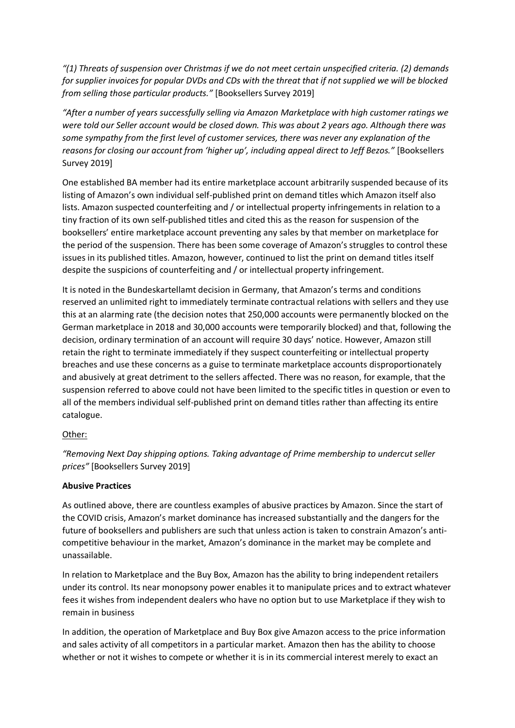*"(1) Threats of suspension over Christmas if we do not meet certain unspecified criteria. (2) demands for supplier invoices for popular DVDs and CDs with the threat that if not supplied we will be blocked from selling those particular products."* [Booksellers Survey 2019]

*"After a number of years successfully selling via Amazon Marketplace with high customer ratings we were told our Seller account would be closed down. This was about 2 years ago. Although there was some sympathy from the first level of customer services, there was never any explanation of the reasons for closing our account from 'higher up', including appeal direct to Jeff Bezos."* [Booksellers Survey 2019]

One established BA member had its entire marketplace account arbitrarily suspended because of its listing of Amazon's own individual self-published print on demand titles which Amazon itself also lists. Amazon suspected counterfeiting and / or intellectual property infringements in relation to a tiny fraction of its own self-published titles and cited this as the reason for suspension of the booksellers' entire marketplace account preventing any sales by that member on marketplace for the period of the suspension. There has been some coverage of Amazon's struggles to control these issues in its published titles. Amazon, however, continued to list the print on demand titles itself despite the suspicions of counterfeiting and / or intellectual property infringement.

It is noted in the Bundeskartellamt decision in Germany, that Amazon's terms and conditions reserved an unlimited right to immediately terminate contractual relations with sellers and they use this at an alarming rate (the decision notes that 250,000 accounts were permanently blocked on the German marketplace in 2018 and 30,000 accounts were temporarily blocked) and that, following the decision, ordinary termination of an account will require 30 days' notice. However, Amazon still retain the right to terminate immediately if they suspect counterfeiting or intellectual property breaches and use these concerns as a guise to terminate marketplace accounts disproportionately and abusively at great detriment to the sellers affected. There was no reason, for example, that the suspension referred to above could not have been limited to the specific titles in question or even to all of the members individual self-published print on demand titles rather than affecting its entire catalogue.

# Other:

*"Removing Next Day shipping options. Taking advantage of Prime membership to undercut seller prices"* [Booksellers Survey 2019]

### **Abusive Practices**

As outlined above, there are countless examples of abusive practices by Amazon. Since the start of the COVID crisis, Amazon's market dominance has increased substantially and the dangers for the future of booksellers and publishers are such that unless action is taken to constrain Amazon's anticompetitive behaviour in the market, Amazon's dominance in the market may be complete and unassailable.

In relation to Marketplace and the Buy Box, Amazon has the ability to bring independent retailers under its control. Its near monopsony power enables it to manipulate prices and to extract whatever fees it wishes from independent dealers who have no option but to use Marketplace if they wish to remain in business

In addition, the operation of Marketplace and Buy Box give Amazon access to the price information and sales activity of all competitors in a particular market. Amazon then has the ability to choose whether or not it wishes to compete or whether it is in its commercial interest merely to exact an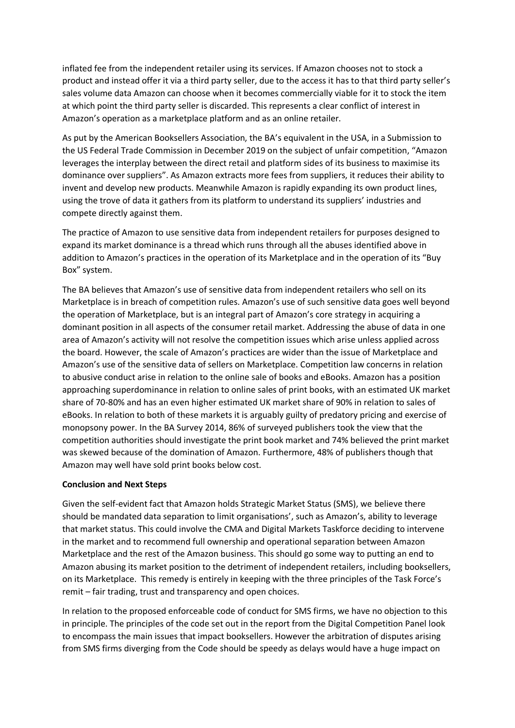inflated fee from the independent retailer using its services. If Amazon chooses not to stock a product and instead offer it via a third party seller, due to the access it has to that third party seller's sales volume data Amazon can choose when it becomes commercially viable for it to stock the item at which point the third party seller is discarded. This represents a clear conflict of interest in Amazon's operation as a marketplace platform and as an online retailer.

As put by the American Booksellers Association, the BA's equivalent in the USA, in a Submission to the US Federal Trade Commission in December 2019 on the subject of unfair competition, "Amazon leverages the interplay between the direct retail and platform sides of its business to maximise its dominance over suppliers". As Amazon extracts more fees from suppliers, it reduces their ability to invent and develop new products. Meanwhile Amazon is rapidly expanding its own product lines, using the trove of data it gathers from its platform to understand its suppliers' industries and compete directly against them.

The practice of Amazon to use sensitive data from independent retailers for purposes designed to expand its market dominance is a thread which runs through all the abuses identified above in addition to Amazon's practices in the operation of its Marketplace and in the operation of its "Buy Box" system.

The BA believes that Amazon's use of sensitive data from independent retailers who sell on its Marketplace is in breach of competition rules. Amazon's use of such sensitive data goes well beyond the operation of Marketplace, but is an integral part of Amazon's core strategy in acquiring a dominant position in all aspects of the consumer retail market. Addressing the abuse of data in one area of Amazon's activity will not resolve the competition issues which arise unless applied across the board. However, the scale of Amazon's practices are wider than the issue of Marketplace and Amazon's use of the sensitive data of sellers on Marketplace. Competition law concerns in relation to abusive conduct arise in relation to the online sale of books and eBooks. Amazon has a position approaching superdominance in relation to online sales of print books, with an estimated UK market share of 70-80% and has an even higher estimated UK market share of 90% in relation to sales of eBooks. In relation to both of these markets it is arguably guilty of predatory pricing and exercise of monopsony power. In the BA Survey 2014, 86% of surveyed publishers took the view that the competition authorities should investigate the print book market and 74% believed the print market was skewed because of the domination of Amazon. Furthermore, 48% of publishers though that Amazon may well have sold print books below cost.

### **Conclusion and Next Steps**

Given the self-evident fact that Amazon holds Strategic Market Status (SMS), we believe there should be mandated data separation to limit organisations', such as Amazon's, ability to leverage that market status. This could involve the CMA and Digital Markets Taskforce deciding to intervene in the market and to recommend full ownership and operational separation between Amazon Marketplace and the rest of the Amazon business. This should go some way to putting an end to Amazon abusing its market position to the detriment of independent retailers, including booksellers, on its Marketplace. This remedy is entirely in keeping with the three principles of the Task Force's remit – fair trading, trust and transparency and open choices.

In relation to the proposed enforceable code of conduct for SMS firms, we have no objection to this in principle. The principles of the code set out in the report from the Digital Competition Panel look to encompass the main issues that impact booksellers. However the arbitration of disputes arising from SMS firms diverging from the Code should be speedy as delays would have a huge impact on